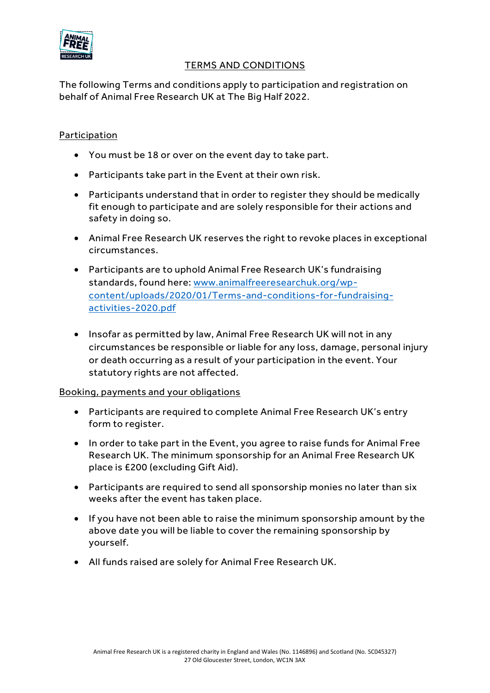

## TERMS AND CONDITIONS

The following Terms and conditions apply to participation and registration on behalf of Animal Free Research UK at The Big Half 2022.

# Participation

- You must be 18 or over on the event day to take part.
- Participants take part in the Event at their own risk.
- Participants understand that in order to register they should be medically fit enough to participate and are solely responsible for their actions and safety in doing so.
- Animal Free Research UK reserves the right to revoke places in exceptional circumstances.
- Participants are to uphold Animal Free Research UK's fundraising standards, found here: [www.animalfreeresearchuk.org/wp](http://www.animalfreeresearchuk.org/wp-content/uploads/2020/01/Terms-and-conditions-for-fundraising-activities-2020.pdf)[content/uploads/2020/01/Terms-and-conditions-for-fundraising](http://www.animalfreeresearchuk.org/wp-content/uploads/2020/01/Terms-and-conditions-for-fundraising-activities-2020.pdf)[activities-2020.pdf](http://www.animalfreeresearchuk.org/wp-content/uploads/2020/01/Terms-and-conditions-for-fundraising-activities-2020.pdf)
- Insofar as permitted by law, Animal Free Research UK will not in any circumstances be responsible or liable for any loss, damage, personal injury or death occurring as a result of your participation in the event. Your statutory rights are not affected.

## Booking, payments and your obligations

- Participants are required to complete Animal Free Research UK's entry form to register.
- In order to take part in the Event, you agree to raise funds for Animal Free Research UK. The minimum sponsorship for an Animal Free Research UK place is £200 (excluding Gift Aid).
- Participants are required to send all sponsorship monies no later than six weeks after the event has taken place.
- If you have not been able to raise the minimum sponsorship amount by the above date you will be liable to cover the remaining sponsorship by yourself.
- All funds raised are solely for Animal Free Research UK.